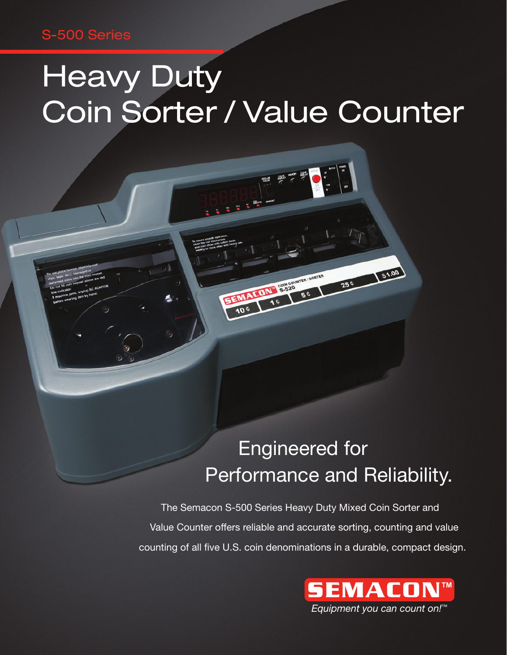### S-500 Series

# **Heavy Duty** Coin Sorter / Value Counter

EENALINE SESSION

### Engineered for Performance and Reliability.

250 61.00

 The Semacon S-500 Series Heavy Duty Mixed Coin Sorter and Value Counter offers reliable and accurate sorting, counting and value counting of all five U.S. coin denominations in a durable, compact design.